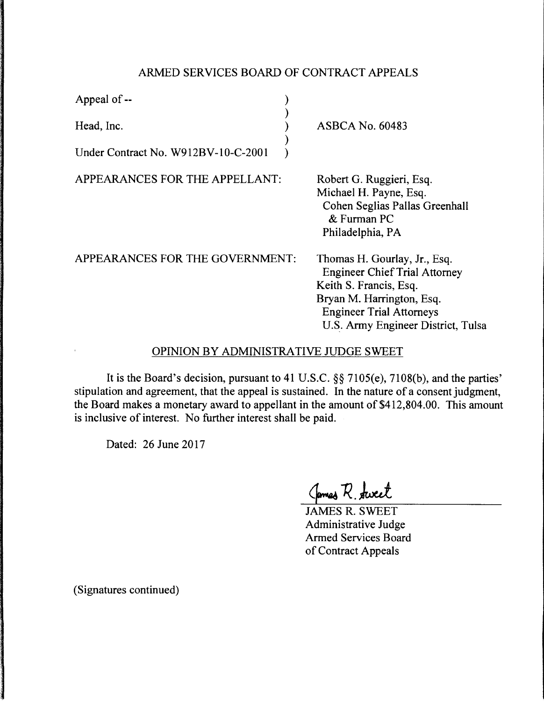## ARMED SERVICES BOARD OF CONTRACT APPEALS

| Appeal of --                        |                                                                                                                                                                                                      |
|-------------------------------------|------------------------------------------------------------------------------------------------------------------------------------------------------------------------------------------------------|
| Head, Inc.                          | <b>ASBCA No. 60483</b>                                                                                                                                                                               |
| Under Contract No. W912BV-10-C-2001 |                                                                                                                                                                                                      |
| APPEARANCES FOR THE APPELLANT:      | Robert G. Ruggieri, Esq.<br>Michael H. Payne, Esq.<br>Cohen Seglias Pallas Greenhall<br>& Furman PC<br>Philadelphia, PA                                                                              |
| APPEARANCES FOR THE GOVERNMENT:     | Thomas H. Gourlay, Jr., Esq.<br><b>Engineer Chief Trial Attorney</b><br>Keith S. Francis, Esq.<br>Bryan M. Harrington, Esq.<br><b>Engineer Trial Attorneys</b><br>U.S. Army Engineer District, Tulsa |

## OPINION BY ADMINISTRATIVE JUDGE SWEET

It is the Board's decision, pursuant to 41 U.S.C. §§ 7105(e), 7108(b), and the parties' stipulation and agreement, that the appeal is sustained. In the nature of a consent judgment, the Board makes a monetary award to appellant in the amount of \$412,804.00. This amount is inclusive of interest. No further interest shall be paid.

Dated: 26 June 2017

Cames R. Aweet

JAMES R. SWEET Administrative Judge Armed Services Board of Contract Appeals

(Signatures continued)

 $\overline{1}$